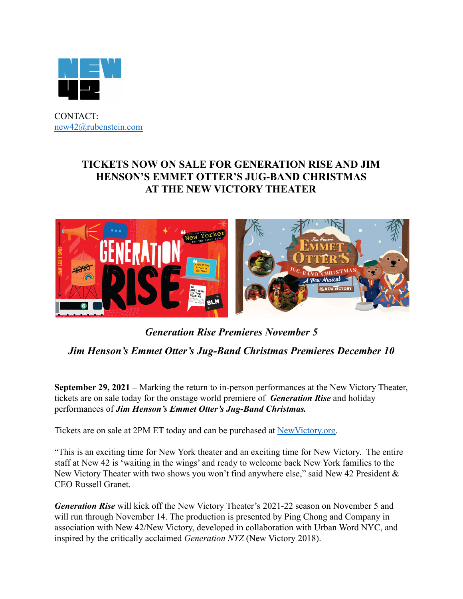

CONTACT: [new42@rubenstein.com](mailto:new42@rubenstein.com)

## **TICKETS NOW ON SALE FOR GENERATION RISE AND JIM HENSON'S EMMET OTTER'S JUG-BAND CHRISTMAS AT THE NEW VICTORY THEATER**



# *Generation Rise Premieres November 5 Jim Henson's Emmet Otter's Jug-Band Christmas Premieres December 10*

**September 29, 2021 –** Marking the return to in-person performances at the New Victory Theater, tickets are on sale today for the onstage world premiere of *Generation Rise* and holiday performances of *Jim Henson's Emmet Otter's Jug-Band Christmas.*

Tickets are on sale at 2PM ET today and can be purchased at [NewVictory.org.](http://www.newvictory.org)

"This is an exciting time for New York theater and an exciting time for New Victory. The entire staff at New 42 is 'waiting in the wings' and ready to welcome back New York families to the New Victory Theater with two shows you won't find anywhere else," said New 42 President & CEO Russell Granet.

*Generation Rise* will kick off the New Victory Theater's 2021-22 season on November 5 and will run through November 14. The production is presented by Ping Chong and Company in association with New 42/New Victory, developed in collaboration with Urban Word NYC, and inspired by the critically acclaimed *Generation NYZ* (New Victory 2018).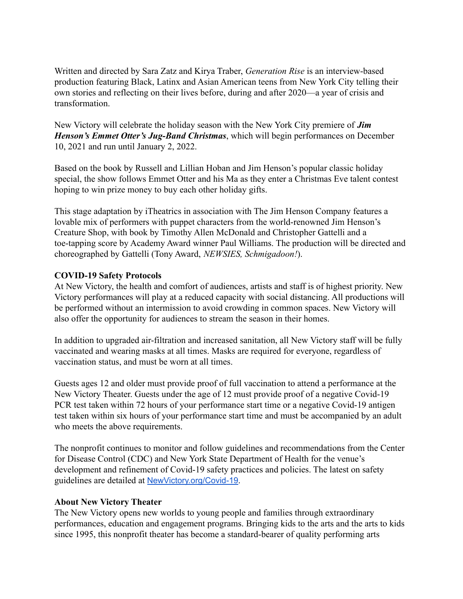Written and directed by Sara Zatz and Kirya Traber, *Generation Rise* is an interview-based production featuring Black, Latinx and Asian American teens from New York City telling their own stories and reflecting on their lives before, during and after 2020—a year of crisis and transformation.

New Victory will celebrate the holiday season with the New York City premiere of *Jim Henson's Emmet Otter's Jug-Band Christmas*, which will begin performances on December 10, 2021 and run until January 2, 2022.

Based on the book by Russell and Lillian Hoban and Jim Henson's popular classic holiday special, the show follows Emmet Otter and his Ma as they enter a Christmas Eve talent contest hoping to win prize money to buy each other holiday gifts.

This stage adaptation by iTheatrics in association with The Jim Henson Company features a lovable mix of performers with puppet characters from the world-renowned Jim Henson's Creature Shop, with book by Timothy Allen McDonald and Christopher Gattelli and a toe-tapping score by Academy Award winner Paul Williams. The production will be directed and choreographed by Gattelli (Tony Award, *NEWSIES, Schmigadoon!*).

### **COVID-19 Safety Protocols**

At New Victory, the health and comfort of audiences, artists and staff is of highest priority. New Victory performances will play at a reduced capacity with social distancing. All productions will be performed without an intermission to avoid crowding in common spaces. New Victory will also offer the opportunity for audiences to stream the season in their homes.

In addition to upgraded air-filtration and increased sanitation, all New Victory staff will be fully vaccinated and wearing masks at all times. Masks are required for everyone, regardless of vaccination status, and must be worn at all times.

Guests ages 12 and older must provide proof of full vaccination to attend a performance at the New Victory Theater. Guests under the age of 12 must provide proof of a negative Covid-19 PCR test taken within 72 hours of your performance start time or a negative Covid-19 antigen test taken within six hours of your performance start time and must be accompanied by an adult who meets the above requirements.

The nonprofit continues to monitor and follow guidelines and recommendations from the Center for Disease Control (CDC) and New York State Department of Health for the venue's development and refinement of Covid-19 safety practices and policies. The latest on safety guidelines are detailed at [NewVictory.org/Covid-19](http://newvictory.org/covid-19).

### **About New Victory Theater**

The New Victory opens new worlds to young people and families through extraordinary performances, education and engagement programs. Bringing kids to the arts and the arts to kids since 1995, this nonprofit theater has become a standard-bearer of quality performing arts